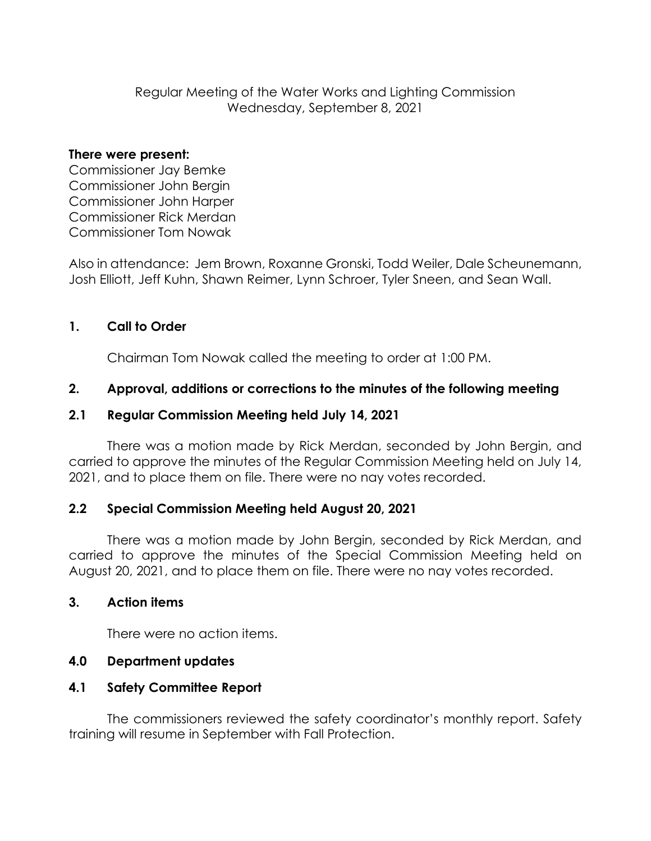Regular Meeting of the Water Works and Lighting Commission Wednesday, September 8, 2021

#### **There were present:**

Commissioner Jay Bemke Commissioner John Bergin Commissioner John Harper Commissioner Rick Merdan Commissioner Tom Nowak

Also in attendance: Jem Brown, Roxanne Gronski, Todd Weiler, Dale Scheunemann, Josh Elliott, Jeff Kuhn, Shawn Reimer, Lynn Schroer, Tyler Sneen, and Sean Wall.

# **1. Call to Order**

Chairman Tom Nowak called the meeting to order at 1:00 PM.

### **2. Approval, additions or corrections to the minutes of the following meeting**

### **2.1 Regular Commission Meeting held July 14, 2021**

There was a motion made by Rick Merdan, seconded by John Bergin, and carried to approve the minutes of the Regular Commission Meeting held on July 14, 2021, and to place them on file. There were no nay votes recorded.

### **2.2 Special Commission Meeting held August 20, 2021**

There was a motion made by John Bergin, seconded by Rick Merdan, and carried to approve the minutes of the Special Commission Meeting held on August 20, 2021, and to place them on file. There were no nay votes recorded.

### **3. Action items**

There were no action items.

# **4.0 Department updates**

# **4.1 Safety Committee Report**

The commissioners reviewed the safety coordinator's monthly report. Safety training will resume in September with Fall Protection.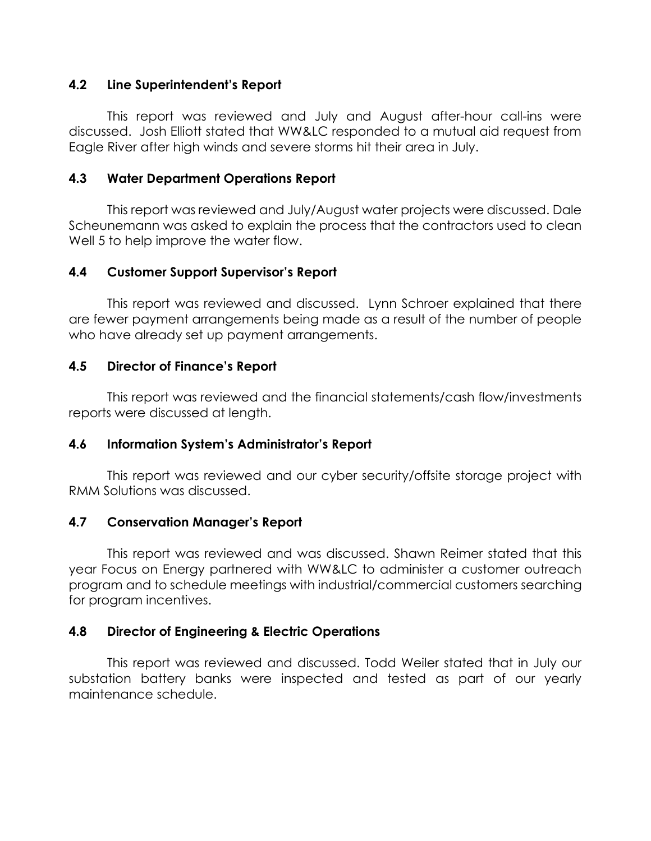### **4.2 Line Superintendent's Report**

This report was reviewed and July and August after-hour call-ins were discussed. Josh Elliott stated that WW&LC responded to a mutual aid request from Eagle River after high winds and severe storms hit their area in July.

### **4.3 Water Department Operations Report**

This report was reviewed and July/August water projects were discussed. Dale Scheunemann was asked to explain the process that the contractors used to clean Well 5 to help improve the water flow.

# **4.4 Customer Support Supervisor's Report**

This report was reviewed and discussed. Lynn Schroer explained that there are fewer payment arrangements being made as a result of the number of people who have already set up payment arrangements.

### **4.5 Director of Finance's Report**

This report was reviewed and the financial statements/cash flow/investments reports were discussed at length.

# **4.6 Information System's Administrator's Report**

This report was reviewed and our cyber security/offsite storage project with RMM Solutions was discussed.

### **4.7 Conservation Manager's Report**

This report was reviewed and was discussed. Shawn Reimer stated that this year Focus on Energy partnered with WW&LC to administer a customer outreach program and to schedule meetings with industrial/commercial customers searching for program incentives.

### **4.8 Director of Engineering & Electric Operations**

This report was reviewed and discussed. Todd Weiler stated that in July our substation battery banks were inspected and tested as part of our yearly maintenance schedule.